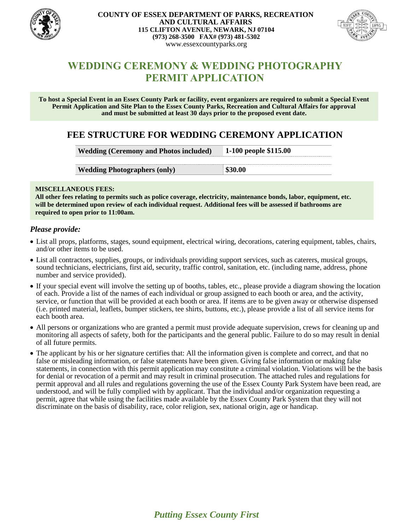

#### **COUNTY OF ESSEX DEPARTMENT OF PARKS, RECREATION AND CULTURAL AFFAIRS 115 CLIFTON AVENUE, NEWARK, NJ 07104 (973) 268-3500 FAX# (973) 481-5302** www.essexcountyparks.org



# **WEDDING CEREMONY & WEDDING PHOTOGRAPHY PERMIT APPLICATION**

**To host a Special Event in an Essex County Park or facility, event organizers are required to submit a Special Event Permit Application and Site Plan to the Essex County Parks, Recreation and Cultural Affairs for approval and must be submitted at least 30 days prior to the proposed event date.**

## **FEE STRUCTURE FOR WEDDING CEREMONY APPLICATION**

| <b>Wedding (Ceremony and Photos included)</b> | 1-100 people \$115.00 |
|-----------------------------------------------|-----------------------|
|                                               |                       |
| <b>Wedding Photographers (only)</b>           | \$30.00               |

#### **MISCELLANEOUS FEES:**

**All other fees relating to permits such as police coverage, electricity, maintenance bonds, labor, equipment, etc. will be determined upon review of each individual request. Additional fees will be assessed if bathrooms are required to open prior to 11:00am.**

### *Please provide:*

- List all props, platforms, stages, sound equipment, electrical wiring, decorations, catering equipment, tables, chairs, and/or other items to be used.
- List all contractors, supplies, groups, or individuals providing support services, such as caterers, musical groups, sound technicians, electricians, first aid, security, traffic control, sanitation, etc. (including name, address, phone number and service provided).
- If your special event will involve the setting up of booths, tables, etc., please provide a diagram showing the location of each. Provide a list of the names of each individual or group assigned to each booth or area, and the activity, service, or function that will be provided at each booth or area. If items are to be given away or otherwise dispensed (i.e. printed material, leaflets, bumper stickers, tee shirts, buttons, etc.), please provide a list of all service items for each booth area.
- All persons or organizations who are granted a permit must provide adequate supervision, crews for cleaning up and monitoring all aspects of safety, both for the participants and the general public. Failure to do so may result in denial of all future permits.
- The applicant by his or her signature certifies that: All the information given is complete and correct, and that no false or misleading information, or false statements have been given. Giving false information or making false statements, in connection with this permit application may constitute a criminal violation. Violations will be the basis for denial or revocation of a permit and may result in criminal prosecution. The attached rules and regulations for permit approval and all rules and regulations governing the use of the Essex County Park System have been read, are understood, and will be fully complied with by applicant. That the individual and/or organization requesting a permit, agree that while using the facilities made available by the Essex County Park System that they will not discriminate on the basis of disability, race, color religion, sex, national origin, age or handicap.

*Putting Essex County First*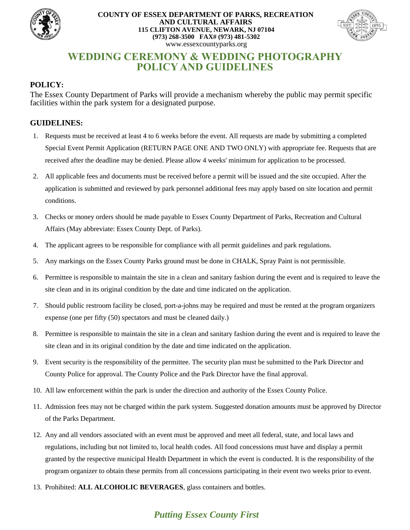

#### **COUNTY OF ESSEX DEPARTMENT OF PARKS, RECREATION AND CULTURAL AFFAIRS 115 CLIFTON AVENUE, NEWARK, NJ 07104 (973) 268-3500 FAX# (973) 481-5302** www.essexcountyparks.org



# **WEDDING CEREMONY & WEDDING PHOTOGRAPHY POLICY AND GUIDELINES**

## **POLICY:**

The Essex County Department of Parks will provide a mechanism whereby the public may permit specific facilities within the park system for a designated purpose.

## **GUIDELINES:**

- 1. Requests must be received at least 4 to 6 weeks before the event. All requests are made by submitting a completed Special Event Permit Application (RETURN PAGE ONE AND TWO ONLY) with appropriate fee. Requests that are received after the deadline may be denied. Please allow 4 weeks' minimum for application to be processed.
- 2. All applicable fees and documents must be received before a permit will be issued and the site occupied. After the application is submitted and reviewed by park personnel additional fees may apply based on site location and permit conditions.
- 3. Checks or money orders should be made payable to Essex County Department of Parks, Recreation and Cultural Affairs (May abbreviate: Essex County Dept. of Parks).
- 4. The applicant agrees to be responsible for compliance with all permit guidelines and park regulations.
- 5. Any markings on the Essex County Parks ground must be done in CHALK, Spray Paint is not permissible.
- 6. Permittee is responsible to maintain the site in a clean and sanitary fashion during the event and is required to leave the site clean and in its original condition by the date and time indicated on the application.
- 7. Should public restroom facility be closed, port-a-johns may be required and must be rented at the program organizers expense (one per fifty (50) spectators and must be cleaned daily.)
- 8. Permittee is responsible to maintain the site in a clean and sanitary fashion during the event and is required to leave the site clean and in its original condition by the date and time indicated on the application.
- 9. Event security is the responsibility of the permittee. The security plan must be submitted to the Park Director and County Police for approval. The County Police and the Park Director have the final approval.
- 10. All law enforcement within the park is under the direction and authority of the Essex County Police.
- 11. Admission fees may not be charged within the park system. Suggested donation amounts must be approved by Director of the Parks Department.
- 12. Any and all vendors associated with an event must be approved and meet all federal, state, and local laws and regulations, including but not limited to, local health codes. All food concessions must have and display a permit granted by the respective municipal Health Department in which the event is conducted. It is the responsibility of the program organizer to obtain these permits from all concessions participating in their event two weeks prior to event.
- 13. Prohibited: **ALL ALCOHOLIC BEVERAGES**, glass containers and bottles.

## *Putting Essex County First*